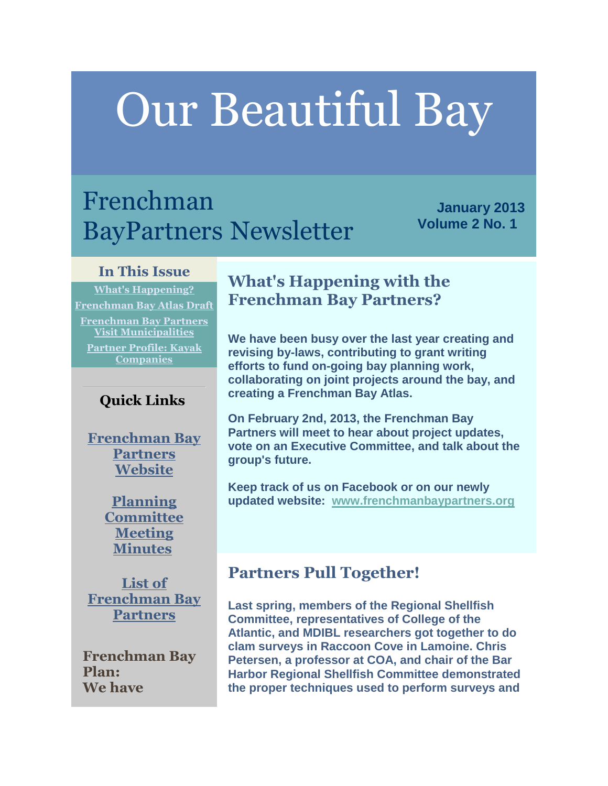# Our Beautiful Bay

# Frenchman BayPartners Newsletter

**January 2013 Volume 2 No. 1** 

#### **In This Issue**

**[What's Happening?](http://campaign.r20.constantcontact.com/render?llr=sk76p6iab&v=001QGVxMVttOOZOTVyC3CzbRcrt91BXw1Dl_6KJj8PubFPEYN9s4U3ATh_x9iffyj076bgEnIkCSQBHdUiUfti8vP5L_U7z_1Mo5_zHNgSLr-mnklnVmAcySsRzgK_1GQh6TZCRmPPxMmbugbZvpunAh01aPzaarNLIbPZZKggovdYGYrPPsYJT1x22h8Esdigxh7jXwq3H7yxU9XotwJH25XqJFaUbOrrocU7auxegVs_jpCoZr1iIv4jFkxE5nwmL4_PS61zdfFSfbGsKcDv8G7D3CXCfefB5JuqzY8kEzv1W1P0F8DOKk2H3IUTFXsFOp9TEiIpueOoyW-XKIZR_LxwI5GOkMULLs9GcWeUWJTxiazCyB57_wUx1CV8SFRXDHihWCIQcYmz9rTxE1YEgphSINa7gSzlgVcfgoH5VwYa-9b-Kiaj3gw%3D%3D&id=preview#LETTER.BLOCK14) [Frenchman Bay Atlas Draft](http://campaign.r20.constantcontact.com/render?llr=sk76p6iab&v=001QGVxMVttOOZOTVyC3CzbRcrt91BXw1Dl_6KJj8PubFPEYN9s4U3ATh_x9iffyj076bgEnIkCSQBHdUiUfti8vP5L_U7z_1Mo5_zHNgSLr-mnklnVmAcySsRzgK_1GQh6TZCRmPPxMmbugbZvpunAh01aPzaarNLIbPZZKggovdYGYrPPsYJT1x22h8Esdigxh7jXwq3H7yxU9XotwJH25XqJFaUbOrrocU7auxegVs_jpCoZr1iIv4jFkxE5nwmL4_PS61zdfFSfbGsKcDv8G7D3CXCfefB5JuqzY8kEzv1W1P0F8DOKk2H3IUTFXsFOp9TEiIpueOoyW-XKIZR_LxwI5GOkMULLs9GcWeUWJTxiazCyB57_wUx1CV8SFRXDHihWCIQcYmz9rTxE1YEgphSINa7gSzlgVcfgoH5VwYa-9b-Kiaj3gw%3D%3D&id=preview#LETTER.BLOCK16) [Frenchman Bay Partners](http://campaign.r20.constantcontact.com/render?llr=sk76p6iab&v=001QGVxMVttOOZOTVyC3CzbRcrt91BXw1Dl_6KJj8PubFPEYN9s4U3ATh_x9iffyj076bgEnIkCSQBHdUiUfti8vP5L_U7z_1Mo5_zHNgSLr-mnklnVmAcySsRzgK_1GQh6TZCRmPPxMmbugbZvpunAh01aPzaarNLIbPZZKggovdYGYrPPsYJT1x22h8Esdigxh7jXwq3H7yxU9XotwJH25XqJFaUbOrrocU7auxegVs_jpCoZr1iIv4jFkxE5nwmL4_PS61zdfFSfbGsKcDv8G7D3CXCfefB5JuqzY8kEzv1W1P0F8DOKk2H3IUTFXsFOp9TEiIpueOoyW-XKIZR_LxwI5GOkMULLs9GcWeUWJTxiazCyB57_wUx1CV8SFRXDHihWCIQcYmz9rTxE1YEgphSINa7gSzlgVcfgoH5VwYa-9b-Kiaj3gw%3D%3D&id=preview#LETTER.BLOCK17)  [Visit Municipalities](http://campaign.r20.constantcontact.com/render?llr=sk76p6iab&v=001QGVxMVttOOZOTVyC3CzbRcrt91BXw1Dl_6KJj8PubFPEYN9s4U3ATh_x9iffyj076bgEnIkCSQBHdUiUfti8vP5L_U7z_1Mo5_zHNgSLr-mnklnVmAcySsRzgK_1GQh6TZCRmPPxMmbugbZvpunAh01aPzaarNLIbPZZKggovdYGYrPPsYJT1x22h8Esdigxh7jXwq3H7yxU9XotwJH25XqJFaUbOrrocU7auxegVs_jpCoZr1iIv4jFkxE5nwmL4_PS61zdfFSfbGsKcDv8G7D3CXCfefB5JuqzY8kEzv1W1P0F8DOKk2H3IUTFXsFOp9TEiIpueOoyW-XKIZR_LxwI5GOkMULLs9GcWeUWJTxiazCyB57_wUx1CV8SFRXDHihWCIQcYmz9rTxE1YEgphSINa7gSzlgVcfgoH5VwYa-9b-Kiaj3gw%3D%3D&id=preview#LETTER.BLOCK17) [Partner Profile: Kayak](http://campaign.r20.constantcontact.com/render?llr=sk76p6iab&v=001QGVxMVttOOZOTVyC3CzbRcrt91BXw1Dl_6KJj8PubFPEYN9s4U3ATh_x9iffyj076bgEnIkCSQBHdUiUfti8vP5L_U7z_1Mo5_zHNgSLr-mnklnVmAcySsRzgK_1GQh6TZCRmPPxMmbugbZvpunAh01aPzaarNLIbPZZKggovdYGYrPPsYJT1x22h8Esdigxh7jXwq3H7yxU9XotwJH25XqJFaUbOrrocU7auxegVs_jpCoZr1iIv4jFkxE5nwmL4_PS61zdfFSfbGsKcDv8G7D3CXCfefB5JuqzY8kEzv1W1P0F8DOKk2H3IUTFXsFOp9TEiIpueOoyW-XKIZR_LxwI5GOkMULLs9GcWeUWJTxiazCyB57_wUx1CV8SFRXDHihWCIQcYmz9rTxE1YEgphSINa7gSzlgVcfgoH5VwYa-9b-Kiaj3gw%3D%3D&id=preview#LETTER.BLOCK18)  [Companies](http://campaign.r20.constantcontact.com/render?llr=sk76p6iab&v=001QGVxMVttOOZOTVyC3CzbRcrt91BXw1Dl_6KJj8PubFPEYN9s4U3ATh_x9iffyj076bgEnIkCSQBHdUiUfti8vP5L_U7z_1Mo5_zHNgSLr-mnklnVmAcySsRzgK_1GQh6TZCRmPPxMmbugbZvpunAh01aPzaarNLIbPZZKggovdYGYrPPsYJT1x22h8Esdigxh7jXwq3H7yxU9XotwJH25XqJFaUbOrrocU7auxegVs_jpCoZr1iIv4jFkxE5nwmL4_PS61zdfFSfbGsKcDv8G7D3CXCfefB5JuqzY8kEzv1W1P0F8DOKk2H3IUTFXsFOp9TEiIpueOoyW-XKIZR_LxwI5GOkMULLs9GcWeUWJTxiazCyB57_wUx1CV8SFRXDHihWCIQcYmz9rTxE1YEgphSINa7gSzlgVcfgoH5VwYa-9b-Kiaj3gw%3D%3D&id=preview#LETTER.BLOCK18)**

#### **Quick Links**

**[Frenchman Bay](http://r20.rs6.net/tn.jsp?e=0014EdI6xZHXsV59Jz0CvJ_7_6hxlMR-E5uVG4DE8MxBzZkEVGVx4gM1B9K94WuAE2ypMPqkBa_iB7FtjxmB6TTXTiCYNS03btHGBktORRNMTCFH80Mj3IWAcc1tMxQ2EvH)  [Partners](http://r20.rs6.net/tn.jsp?e=0014EdI6xZHXsV59Jz0CvJ_7_6hxlMR-E5uVG4DE8MxBzZkEVGVx4gM1B9K94WuAE2ypMPqkBa_iB7FtjxmB6TTXTiCYNS03btHGBktORRNMTCFH80Mj3IWAcc1tMxQ2EvH)  [Website](http://r20.rs6.net/tn.jsp?e=0014EdI6xZHXsV59Jz0CvJ_7_6hxlMR-E5uVG4DE8MxBzZkEVGVx4gM1B9K94WuAE2ypMPqkBa_iB7FtjxmB6TTXTiCYNS03btHGBktORRNMTCFH80Mj3IWAcc1tMxQ2EvH)**

> **[Planning](http://r20.rs6.net/tn.jsp?e=0014EdI6xZHXsWKManoZ8ncJmEllrPuEYwwA9_fpMkch6qnZzKKPln42iY9BU3fyJoiJv3_7lQjx4dC-XG065GHFQDRrBNA3CNkqFiy3w-MPQrUFJVS_IlT2QutNW0eaorfFAAmAsd4SzBaAsjbtxVdig==)  [Committee](http://r20.rs6.net/tn.jsp?e=0014EdI6xZHXsWKManoZ8ncJmEllrPuEYwwA9_fpMkch6qnZzKKPln42iY9BU3fyJoiJv3_7lQjx4dC-XG065GHFQDRrBNA3CNkqFiy3w-MPQrUFJVS_IlT2QutNW0eaorfFAAmAsd4SzBaAsjbtxVdig==)  [Meeting](http://r20.rs6.net/tn.jsp?e=0014EdI6xZHXsWKManoZ8ncJmEllrPuEYwwA9_fpMkch6qnZzKKPln42iY9BU3fyJoiJv3_7lQjx4dC-XG065GHFQDRrBNA3CNkqFiy3w-MPQrUFJVS_IlT2QutNW0eaorfFAAmAsd4SzBaAsjbtxVdig==)  [Minutes](http://r20.rs6.net/tn.jsp?e=0014EdI6xZHXsWKManoZ8ncJmEllrPuEYwwA9_fpMkch6qnZzKKPln42iY9BU3fyJoiJv3_7lQjx4dC-XG065GHFQDRrBNA3CNkqFiy3w-MPQrUFJVS_IlT2QutNW0eaorfFAAmAsd4SzBaAsjbtxVdig==)**

**[List of](http://r20.rs6.net/tn.jsp?e=0014EdI6xZHXsWvGNHqlxeX4Zx8_eCvoR2KGYsp4LoiQ4lWSt3SBrzrC-KUBAXN8iaJ8FmsoFOP3HdBDpwFj_Vxb_MNJf5eUbHBimOJ7VFeR3zJbcufJJVFt5A7SexMfsvsPAH09eO1FIs=)  [Frenchman Bay](http://r20.rs6.net/tn.jsp?e=0014EdI6xZHXsWvGNHqlxeX4Zx8_eCvoR2KGYsp4LoiQ4lWSt3SBrzrC-KUBAXN8iaJ8FmsoFOP3HdBDpwFj_Vxb_MNJf5eUbHBimOJ7VFeR3zJbcufJJVFt5A7SexMfsvsPAH09eO1FIs=)  [Partners](http://r20.rs6.net/tn.jsp?e=0014EdI6xZHXsWvGNHqlxeX4Zx8_eCvoR2KGYsp4LoiQ4lWSt3SBrzrC-KUBAXN8iaJ8FmsoFOP3HdBDpwFj_Vxb_MNJf5eUbHBimOJ7VFeR3zJbcufJJVFt5A7SexMfsvsPAH09eO1FIs=)**

**Frenchman Bay Plan: We have** 

# **What's Happening with the Frenchman Bay Partners?**

**We have been busy over the last year creating and revising by-laws, contributing to grant writing efforts to fund on-going bay planning work, collaborating on joint projects around the bay, and creating a Frenchman Bay Atlas.**

**On February 2nd, 2013, the Frenchman Bay Partners will meet to hear about project updates, vote on an Executive Committee, and talk about the group's future.**

**Keep track of us on Facebook or on our newly updated website: [www.frenchmanbaypartners.org](http://r20.rs6.net/tn.jsp?e=0014EdI6xZHXsV59Jz0CvJ_7_6hxlMR-E5uVG4DE8MxBzZkEVGVx4gM1B9K94WuAE2ypMPqkBa_iB7FtjxmB6TTXTiCYNS03btHGBktORRNMTCFH80Mj3IWAcc1tMxQ2EvH)**

# **Partners Pull Together!**

**Last spring, members of the Regional Shellfish Committee, representatives of College of the Atlantic, and MDIBL researchers got together to do clam surveys in Raccoon Cove in Lamoine. Chris Petersen, a professor at COA, and chair of the Bar Harbor Regional Shellfish Committee demonstrated the proper techniques used to perform surveys and**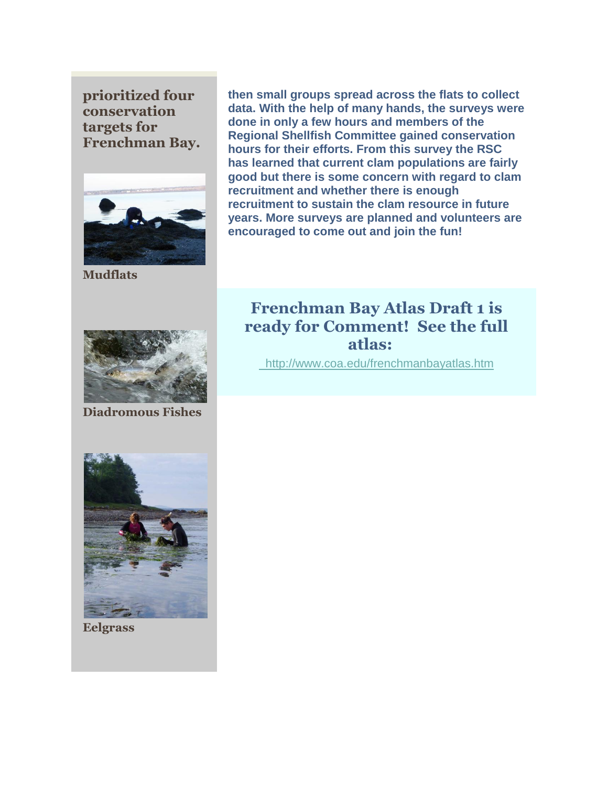**prioritized four conservation targets for Frenchman Bay.**



**Mudflats**



**Diadromous Fishes**

**done in only a few hours and members of the Regional Shellfish Committee gained conservation hours for their efforts. From this survey the RSC has learned that current clam populations are fairly good but there is some concern with regard to clam recruitment and whether there is enough recruitment to sustain the clam resource in future years. More surveys are planned and volunteers are** 

**then small groups spread across the flats to collect data. With the help of many hands, the surveys were** 

**encouraged to come out and join the fun!**

# **Frenchman Bay Atlas Draft 1 is ready for Comment! See the full atlas:**

[http://www.coa.edu/frenchmanbayatlas.htm](http://r20.rs6.net/tn.jsp?e=0014EdI6xZHXsVpnZUF4gKUmrFPdt1BVOz92CWdrKSShfa0dc6GvK8nfxOwXkZtV0JP2pqdxwZgAGIDD9ZNl_TEPLmT7fsy1r5e1v16ru1k3LMQsvBLROUnxGX7kq3xWacG0eOEy3mJjlY=)



**Eelgrass**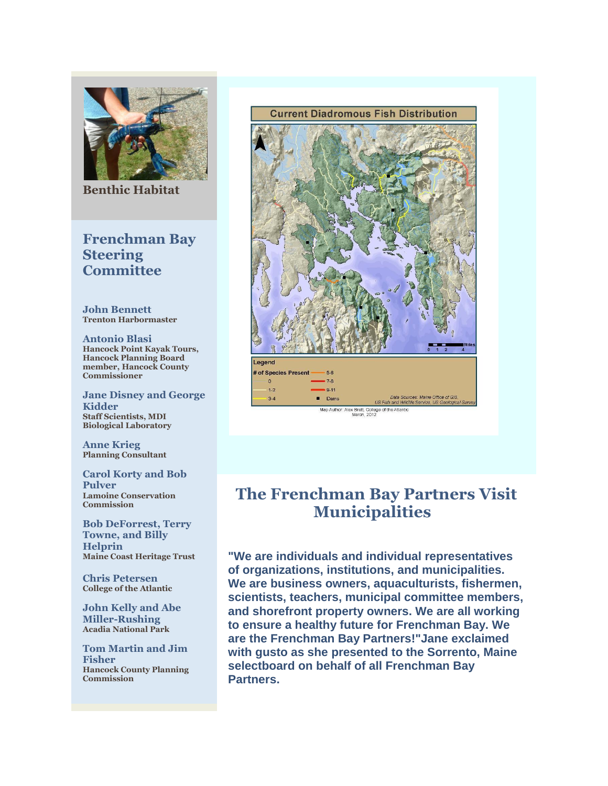

**Benthic Habitat**

#### **Frenchman Bay Steering Committee**

**John Bennett Trenton Harbormaster**

**Antonio Blasi Hancock Point Kayak Tours, Hancock Planning Board member, Hancock County Commissioner**

**Jane Disney and George Kidder Staff Scientists, MDI Biological Laboratory**

**Anne Krieg Planning Consultant**

**Carol Korty and Bob Pulver Lamoine Conservation Commission**

**Bob DeForrest, Terry Towne, and Billy Helprin Maine Coast Heritage Trust**

**Chris Petersen College of the Atlantic**

**John Kelly and Abe Miller-Rushing Acadia National Park**

**Tom Martin and Jim Fisher Hancock County Planning Commission**



# **The Frenchman Bay Partners Visit Municipalities**

**"We are individuals and individual representatives of organizations, institutions, and municipalities. We are business owners, aquaculturists, fishermen, scientists, teachers, municipal committee members, and shorefront property owners. We are all working to ensure a healthy future for Frenchman Bay. We are the Frenchman Bay Partners!"Jane exclaimed with gusto as she presented to the Sorrento, Maine selectboard on behalf of all Frenchman Bay Partners.**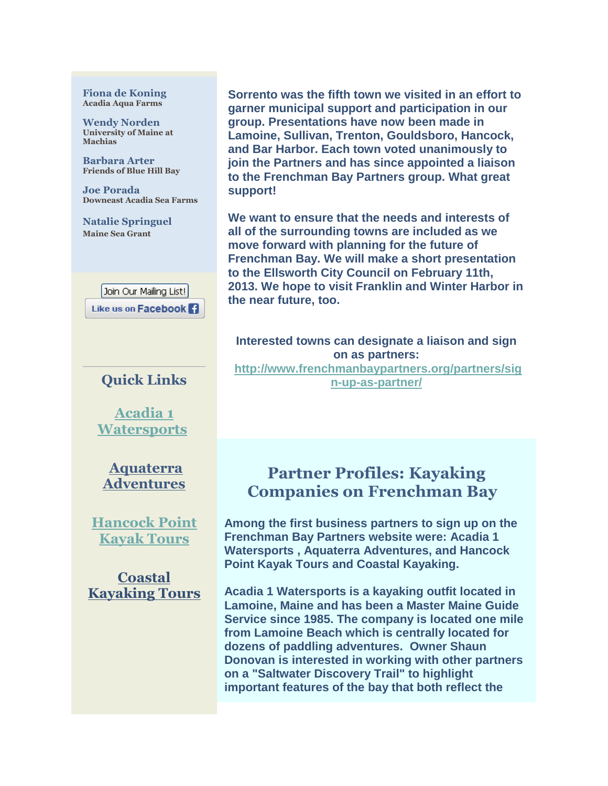#### **Fiona de Koning Acadia Aqua Farms**

**Wendy Norden University of Maine at Machias**

**Barbara Arter Friends of Blue Hill Bay**

**Joe Porada Downeast Acadia Sea Farms**

**Natalie Springuel Maine Sea Grant**

> Join Our Mailing List! Like us on Facebook

#### **Quick Links**

**[Acadia 1](http://r20.rs6.net/tn.jsp?e=0014EdI6xZHXsVw2DLzdMEt0ZoOQPEpMtz5FMydAF9qsDFYTYKawyLnjJL5fQwRiQhgdD2MZf5F5b3F8rXN5QvzynFR1Nk3icB49GUHPnBRsLw=)  [Watersports](http://r20.rs6.net/tn.jsp?e=0014EdI6xZHXsVw2DLzdMEt0ZoOQPEpMtz5FMydAF9qsDFYTYKawyLnjJL5fQwRiQhgdD2MZf5F5b3F8rXN5QvzynFR1Nk3icB49GUHPnBRsLw=)**

**[Aquaterra](http://r20.rs6.net/tn.jsp?e=0014EdI6xZHXsUueJ27gnh5kaSlqlZLOXxWKzU9v_EyEV36T04DcmB06KrG1-Oq9DJEJqI7IRf7-vS7YXHiialYKgjuORrj8yBSsc6AAsisPzLf17zuZYvgmCGXgsBEUL7_)  [Adventures](http://r20.rs6.net/tn.jsp?e=0014EdI6xZHXsUueJ27gnh5kaSlqlZLOXxWKzU9v_EyEV36T04DcmB06KrG1-Oq9DJEJqI7IRf7-vS7YXHiialYKgjuORrj8yBSsc6AAsisPzLf17zuZYvgmCGXgsBEUL7_)**

**[Hancock Point](http://r20.rs6.net/tn.jsp?e=0014EdI6xZHXsXrl0A8loKKozxyxDFgmQ7XObJ81brMESTLNeL8bWfW9t0umuLRgMnPdHgsM0QIVu_St283l006_ZGPqdfgB2TECrBz3j6Lu4m-wY8VQVPtTZoLj5MVcM2b)  [Kayak Tours](http://r20.rs6.net/tn.jsp?e=0014EdI6xZHXsXrl0A8loKKozxyxDFgmQ7XObJ81brMESTLNeL8bWfW9t0umuLRgMnPdHgsM0QIVu_St283l006_ZGPqdfgB2TECrBz3j6Lu4m-wY8VQVPtTZoLj5MVcM2b)**

**[Coastal](http://r20.rs6.net/tn.jsp?e=0014EdI6xZHXsV07SBY_XHi6pyiqCC4z-TRWAljb4J4TK8Dk_hM_HpR9UIYC730nx3cRO2pQo4zjRceGli27UC5o_c1tjKKry7IU8XdVQdZNqmSLipWDJDzMw==)  [Kayaking Tours](http://r20.rs6.net/tn.jsp?e=0014EdI6xZHXsV07SBY_XHi6pyiqCC4z-TRWAljb4J4TK8Dk_hM_HpR9UIYC730nx3cRO2pQo4zjRceGli27UC5o_c1tjKKry7IU8XdVQdZNqmSLipWDJDzMw==)**

**Sorrento was the fifth town we visited in an effort to garner municipal support and participation in our group. Presentations have now been made in Lamoine, Sullivan, Trenton, Gouldsboro, Hancock, and Bar Harbor. Each town voted unanimously to join the Partners and has since appointed a liaison to the Frenchman Bay Partners group. What great support!**

**We want to ensure that the needs and interests of all of the surrounding towns are included as we move forward with planning for the future of Frenchman Bay. We will make a short presentation to the Ellsworth City Council on February 11th, 2013. We hope to visit Franklin and Winter Harbor in the near future, too.**

**Interested towns can designate a liaison and sign on as partners: [http://www.frenchmanbaypartners.org/partners/sig](http://r20.rs6.net/tn.jsp?e=0014EdI6xZHXsXy_UMbxuiVkxOVXLiZWxPnkY6QJ9k-goorA3mGiolVMgEkToqQFqaC_rEodKxES1Mw-6HhoG4msQVL9xxFLZiCzzEMib7X61jr0r2sZ-1s4VBlFAv9WVxvSRAsXoqhUlC-ZoGCAd1LeJUq4tz-pkjaQeEPQhPUknk=) [n-up-as-partner/](http://r20.rs6.net/tn.jsp?e=0014EdI6xZHXsXy_UMbxuiVkxOVXLiZWxPnkY6QJ9k-goorA3mGiolVMgEkToqQFqaC_rEodKxES1Mw-6HhoG4msQVL9xxFLZiCzzEMib7X61jr0r2sZ-1s4VBlFAv9WVxvSRAsXoqhUlC-ZoGCAd1LeJUq4tz-pkjaQeEPQhPUknk=)**

### **Partner Profiles: Kayaking Companies on Frenchman Bay**

**Among the first business partners to sign up on the Frenchman Bay Partners website were: Acadia 1 Watersports , Aquaterra Adventures, and Hancock Point Kayak Tours and Coastal Kayaking.**

**Acadia 1 Watersports is a kayaking outfit located in Lamoine, Maine and has been a Master Maine Guide Service since 1985. The company is located one mile from Lamoine Beach which is centrally located for dozens of paddling adventures. Owner Shaun Donovan is interested in working with other partners on a "Saltwater Discovery Trail" to highlight important features of the bay that both reflect the**